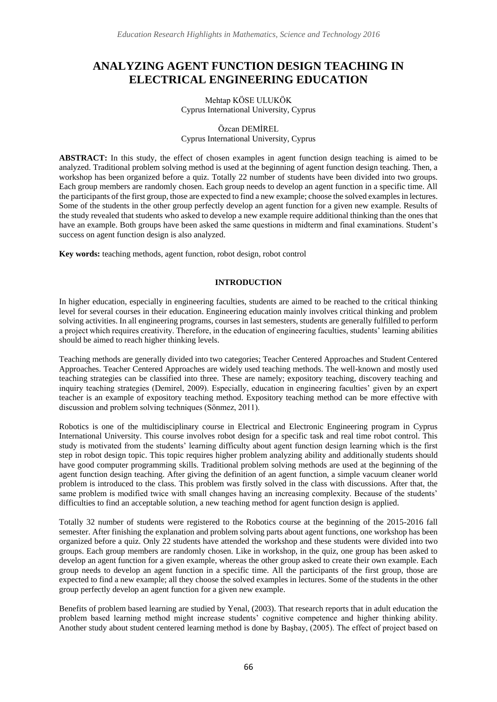# **ANALYZING AGENT FUNCTION DESIGN TEACHING IN ELECTRICAL ENGINEERING EDUCATION**

#### Mehtap KÖSE ULUKÖK Cyprus International University, Cyprus

#### Özcan DEMİREL Cyprus International University, Cyprus

**ABSTRACT:** In this study, the effect of chosen examples in agent function design teaching is aimed to be analyzed. Traditional problem solving method is used at the beginning of agent function design teaching. Then, a workshop has been organized before a quiz. Totally 22 number of students have been divided into two groups. Each group members are randomly chosen. Each group needs to develop an agent function in a specific time. All the participants of the first group, those are expected to find a new example; choose the solved examples in lectures. Some of the students in the other group perfectly develop an agent function for a given new example. Results of the study revealed that students who asked to develop a new example require additional thinking than the ones that have an example. Both groups have been asked the same questions in midterm and final examinations. Student's success on agent function design is also analyzed.

**Key words:** teaching methods, agent function, robot design, robot control

#### **INTRODUCTION**

In higher education, especially in engineering faculties, students are aimed to be reached to the critical thinking level for several courses in their education. Engineering education mainly involves critical thinking and problem solving activities. In all engineering programs, courses in last semesters, students are generally fulfilled to perform a project which requires creativity. Therefore, in the education of engineering faculties, students' learning abilities should be aimed to reach higher thinking levels.

Teaching methods are generally divided into two categories; Teacher Centered Approaches and Student Centered Approaches. Teacher Centered Approaches are widely used teaching methods. The well-known and mostly used teaching strategies can be classified into three. These are namely; expository teaching, discovery teaching and inquiry teaching strategies (Demirel, 2009). Especially, education in engineering faculties' given by an expert teacher is an example of expository teaching method. Expository teaching method can be more effective with discussion and problem solving techniques (Sönmez, 2011).

Robotics is one of the multidisciplinary course in Electrical and Electronic Engineering program in Cyprus International University. This course involves robot design for a specific task and real time robot control. This study is motivated from the students' learning difficulty about agent function design learning which is the first step in robot design topic. This topic requires higher problem analyzing ability and additionally students should have good computer programming skills. Traditional problem solving methods are used at the beginning of the agent function design teaching. After giving the definition of an agent function, a simple vacuum cleaner world problem is introduced to the class. This problem was firstly solved in the class with discussions. After that, the same problem is modified twice with small changes having an increasing complexity. Because of the students' difficulties to find an acceptable solution, a new teaching method for agent function design is applied.

Totally 32 number of students were registered to the Robotics course at the beginning of the 2015-2016 fall semester. After finishing the explanation and problem solving parts about agent functions, one workshop has been organized before a quiz. Only 22 students have attended the workshop and these students were divided into two groups. Each group members are randomly chosen. Like in workshop, in the quiz, one group has been asked to develop an agent function for a given example, whereas the other group asked to create their own example. Each group needs to develop an agent function in a specific time. All the participants of the first group, those are expected to find a new example; all they choose the solved examples in lectures. Some of the students in the other group perfectly develop an agent function for a given new example.

Benefits of problem based learning are studied by Yenal, (2003). That research reports that in adult education the problem based learning method might increase students' cognitive competence and higher thinking ability. Another study about student centered learning method is done by Başbay, (2005). The effect of project based on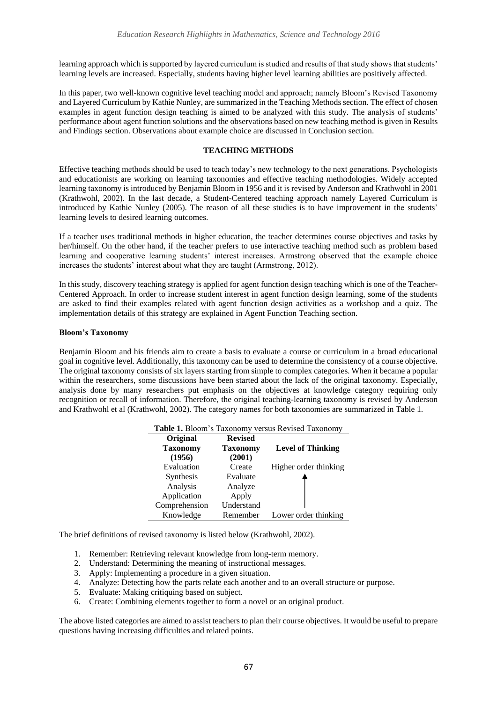learning approach which is supported by layered curriculum is studied and results of that study shows that students' learning levels are increased. Especially, students having higher level learning abilities are positively affected.

In this paper, two well-known cognitive level teaching model and approach; namely Bloom's Revised Taxonomy and Layered Curriculum by Kathie Nunley, are summarized in the Teaching Methods section. The effect of chosen examples in agent function design teaching is aimed to be analyzed with this study. The analysis of students' performance about agent function solutions and the observations based on new teaching method is given in Results and Findings section. Observations about example choice are discussed in Conclusion section.

## **TEACHING METHODS**

Effective teaching methods should be used to teach today's new technology to the next generations. Psychologists and educationists are working on learning taxonomies and effective teaching methodologies. Widely accepted learning taxonomy is introduced by Benjamin Bloom in 1956 and it is revised by Anderson and Krathwohl in 2001 (Krathwohl, 2002). In the last decade, a Student-Centered teaching approach namely Layered Curriculum is introduced by Kathie Nunley (2005). The reason of all these studies is to have improvement in the students' learning levels to desired learning outcomes.

If a teacher uses traditional methods in higher education, the teacher determines course objectives and tasks by her/himself. On the other hand, if the teacher prefers to use interactive teaching method such as problem based learning and cooperative learning students' interest increases. Armstrong observed that the example choice increases the students' interest about what they are taught (Armstrong, 2012).

In this study, discovery teaching strategy is applied for agent function design teaching which is one of the Teacher-Centered Approach. In order to increase student interest in agent function design learning, some of the students are asked to find their examples related with agent function design activities as a workshop and a quiz. The implementation details of this strategy are explained in Agent Function Teaching section.

## **Bloom's Taxonomy**

Benjamin Bloom and his friends aim to create a basis to evaluate a course or curriculum in a broad educational goal in cognitive level. Additionally, this taxonomy can be used to determine the consistency of a course objective. The original taxonomy consists of six layers starting from simple to complex categories. When it became a popular within the researchers, some discussions have been started about the lack of the original taxonomy. Especially, analysis done by many researchers put emphasis on the objectives at knowledge category requiring only recognition or recall of information. Therefore, the original teaching-learning taxonomy is revised by Anderson and Krathwohl et al (Krathwohl, 2002). The category names for both taxonomies are summarized in Table 1.

| <b>Original</b> | Revised |                                                          |
|-----------------|---------|----------------------------------------------------------|
|                 |         | <b>Table 1.</b> Bloom's Taxonomy versus Revised Taxonomy |

| Original        | <b>Revised</b>  |                          |
|-----------------|-----------------|--------------------------|
| <b>Taxonomy</b> | <b>Taxonomy</b> | <b>Level of Thinking</b> |
| (1956)          | (2001)          |                          |
| Evaluation      | Create          | Higher order thinking    |
| Synthesis       | Evaluate        |                          |
| Analysis        | Analyze         |                          |
| Application     | Apply           |                          |
| Comprehension   | Understand      |                          |
| Knowledge       | Remember        | Lower order thinking     |

The brief definitions of revised taxonomy is listed below (Krathwohl, 2002).

- 1. Remember: Retrieving relevant knowledge from long-term memory.
- 2. Understand: Determining the meaning of instructional messages.
- 3. Apply: Implementing a procedure in a given situation.
- 4. Analyze: Detecting how the parts relate each another and to an overall structure or purpose.
- 5. Evaluate: Making critiquing based on subject.
- 6. Create: Combining elements together to form a novel or an original product.

The above listed categories are aimed to assist teachers to plan their course objectives. It would be useful to prepare questions having increasing difficulties and related points.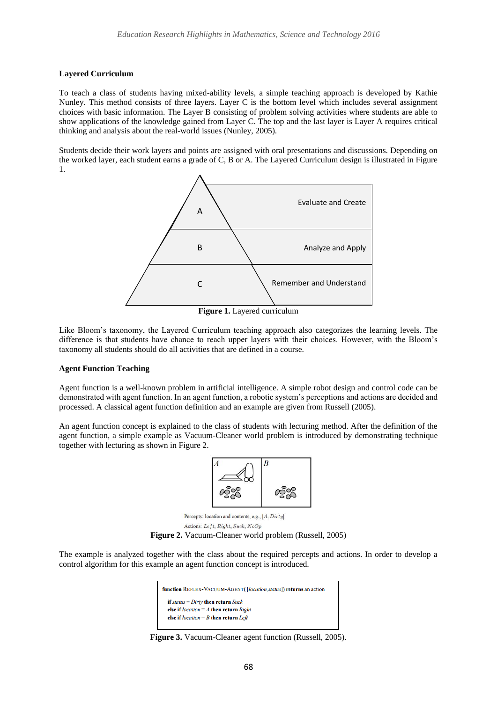#### **Layered Curriculum**

To teach a class of students having mixed-ability levels, a simple teaching approach is developed by Kathie Nunley. This method consists of three layers. Layer C is the bottom level which includes several assignment choices with basic information. The Layer B consisting of problem solving activities where students are able to show applications of the knowledge gained from Layer C. The top and the last layer is Layer A requires critical thinking and analysis about the real-world issues (Nunley, 2005).

Students decide their work layers and points are assigned with oral presentations and discussions. Depending on the worked layer, each student earns a grade of C, B or A. The Layered Curriculum design is illustrated in Figure 1.



**Figure 1.** Layered curriculum

Like Bloom's taxonomy, the Layered Curriculum teaching approach also categorizes the learning levels. The difference is that students have chance to reach upper layers with their choices. However, with the Bloom's taxonomy all students should do all activities that are defined in a course.

#### **Agent Function Teaching**

Agent function is a well-known problem in artificial intelligence. A simple robot design and control code can be demonstrated with agent function. In an agent function, a robotic system's perceptions and actions are decided and processed. A classical agent function definition and an example are given from Russell (2005).

An agent function concept is explained to the class of students with lecturing method. After the definition of the agent function, a simple example as Vacuum-Cleaner world problem is introduced by demonstrating technique together with lecturing as shown in Figure 2.



Percepts: location and contents, e.g., [A, Dirty]

Actions: Left, Right, Suck, NoOp



The example is analyzed together with the class about the required percepts and actions. In order to develop a control algorithm for this example an agent function concept is introduced.

| function REFLEX-VACUUM-AGENT([location,status]) returns an action |  |
|-------------------------------------------------------------------|--|
| if status = $Dirtv$ then return $Suck$                            |  |
| else if $location = A$ then return $Right$                        |  |
| else if $location = B$ then return Left                           |  |

**Figure 3.** Vacuum-Cleaner agent function (Russell, 2005).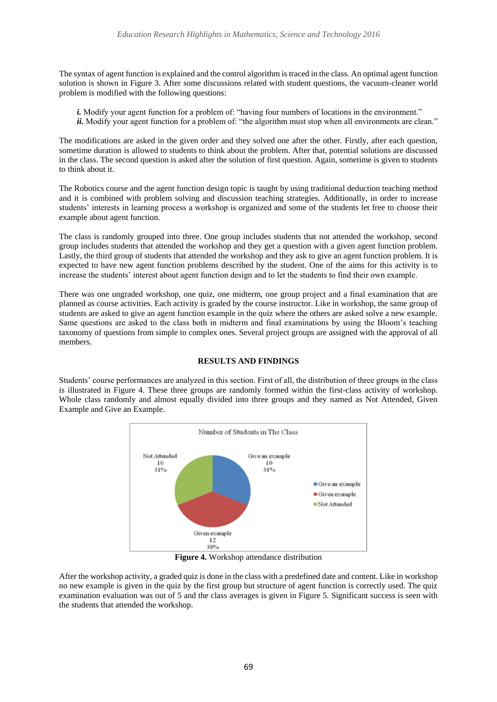The syntax of agent function is explained and the control algorithm is traced in the class. An optimal agent function solution is shown in Figure 3. After some discussions related with student questions, the vacuum-cleaner world problem is modified with the following questions:

- *i.* Modify your agent function for a problem of: "having four numbers of locations in the environment."
- *ii.* Modify your agent function for a problem of: "the algorithm must stop when all environments are clean."

The modifications are asked in the given order and they solved one after the other. Firstly, after each question, sometime duration is allowed to students to think about the problem. After that, potential solutions are discussed in the class. The second question is asked after the solution of first question. Again, sometime is given to students to think about it.

The Robotics course and the agent function design topic is taught by using traditional deduction teaching method and it is combined with problem solving and discussion teaching strategies. Additionally, in order to increase students' interests in learning process a workshop is organized and some of the students let free to choose their example about agent function.

The class is randomly grouped into three. One group includes students that not attended the workshop, second group includes students that attended the workshop and they get a question with a given agent function problem. Lastly, the third group of students that attended the workshop and they ask to give an agent function problem. It is expected to have new agent function problems described by the student. One of the aims for this activity is to increase the students' interest about agent function design and to let the students to find their own example.

There was one ungraded workshop, one quiz, one midterm, one group project and a final examination that are planned as course activities. Each activity is graded by the course instructor. Like in workshop, the same group of students are asked to give an agent function example in the quiz where the others are asked solve a new example. Same questions are asked to the class both in midterm and final examinations by using the Bloom's teaching taxonomy of questions from simple to complex ones. Several project groups are assigned with the approval of all members.

#### **RESULTS AND FINDINGS**

Students' course performances are analyzed in this section. First of all, the distribution of three groups in the class is illustrated in Figure 4. These three groups are randomly formed within the first-class activity of workshop. Whole class randomly and almost equally divided into three groups and they named as Not Attended, Given Example and Give an Example.



**Figure 4.** Workshop attendance distribution

After the workshop activity, a graded quiz is done in the class with a predefined date and content. Like in workshop no new example is given in the quiz by the first group but structure of agent function is correctly used. The quiz examination evaluation was out of 5 and the class averages is given in Figure 5. Significant success is seen with the students that attended the workshop.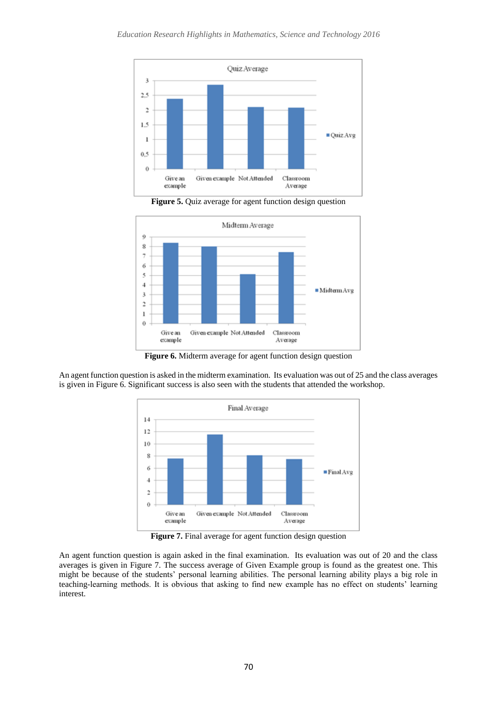

Figure 5. Quiz average for agent function design question



**Figure 6.** Midterm average for agent function design question

An agent function question is asked in the midterm examination. Its evaluation was out of 25 and the class averages is given in Figure 6. Significant success is also seen with the students that attended the workshop.



**Figure 7.** Final average for agent function design question

An agent function question is again asked in the final examination. Its evaluation was out of 20 and the class averages is given in Figure 7. The success average of Given Example group is found as the greatest one. This might be because of the students' personal learning abilities. The personal learning ability plays a big role in teaching-learning methods. It is obvious that asking to find new example has no effect on students' learning interest.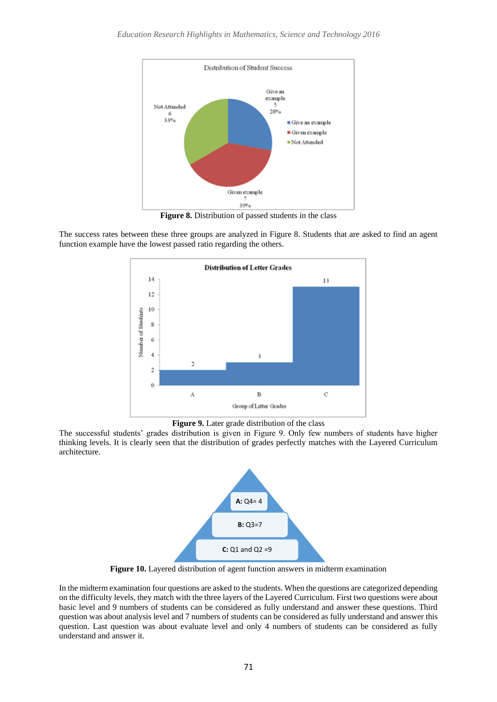

**Figure 8.** Distribution of passed students in the class

The success rates between these three groups are analyzed in Figure 8. Students that are asked to find an agent function example have the lowest passed ratio regarding the others.



**Figure 9.** Later grade distribution of the class

The successful students' grades distribution is given in Figure 9. Only few numbers of students have higher thinking levels. It is clearly seen that the distribution of grades perfectly matches with the Layered Curriculum architecture.



**Figure 10.** Layered distribution of agent function answers in midterm examination

In the midterm examination four questions are asked to the students. When the questions are categorized depending on the difficulty levels, they match with the three layers of the Layered Curriculum. First two questions were about basic level and 9 numbers of students can be considered as fully understand and answer these questions. Third question was about analysis level and 7 numbers of students can be considered as fully understand and answer this question. Last question was about evaluate level and only 4 numbers of students can be considered as fully understand and answer it.